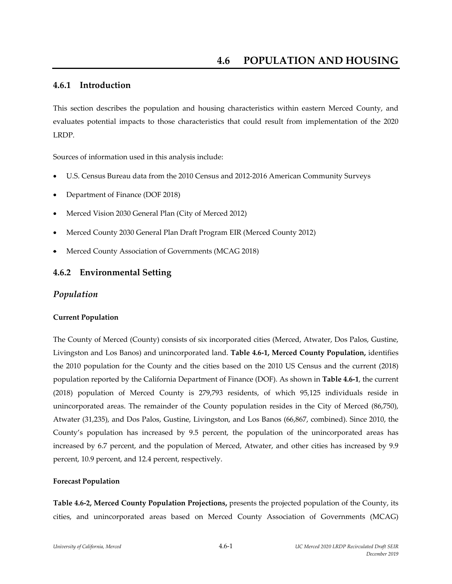## **4.6.1 Introduction**

This section describes the population and housing characteristics within eastern Merced County, and evaluates potential impacts to those characteristics that could result from implementation of the 2020 LRDP.

Sources of information used in this analysis include:

- U.S. Census Bureau data from the 2010 Census and 2012‐2016 American Community Surveys
- Department of Finance (DOF 2018)
- Merced Vision 2030 General Plan (City of Merced 2012)
- Merced County 2030 General Plan Draft Program EIR (Merced County 2012)
- Merced County Association of Governments (MCAG 2018)

## **4.6.2 Environmental Setting**

#### *Population*

#### **Current Population**

The County of Merced (County) consists of six incorporated cities (Merced, Atwater, Dos Palos, Gustine, Livingston and Los Banos) and unincorporated land. **Table 4.6‐1, Merced County Population,** identifies the 2010 population for the County and the cities based on the 2010 US Census and the current (2018) population reported by the California Department of Finance (DOF). As shown in **Table 4.6‐1**, the current (2018) population of Merced County is 279,793 residents, of which 95,125 individuals reside in unincorporated areas. The remainder of the County population resides in the City of Merced (86,750), Atwater (31,235), and Dos Palos, Gustine, Livingston, and Los Banos (66,867, combined). Since 2010, the County's population has increased by 9.5 percent, the population of the unincorporated areas has increased by 6.7 percent, and the population of Merced, Atwater, and other cities has increased by 9.9 percent, 10.9 percent, and 12.4 percent, respectively.

#### **Forecast Population**

**Table 4.6‐2, Merced County Population Projections,** presents the projected population of the County, its cities, and unincorporated areas based on Merced County Association of Governments (MCAG)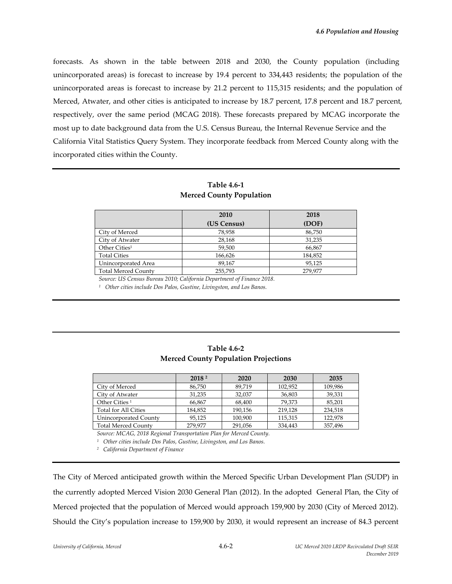forecasts. As shown in the table between 2018 and 2030, the County population (including unincorporated areas) is forecast to increase by 19.4 percent to 334,443 residents; the population of the unincorporated areas is forecast to increase by 21.2 percent to 115,315 residents; and the population of Merced, Atwater, and other cities is anticipated to increase by 18.7 percent, 17.8 percent and 18.7 percent, respectively, over the same period (MCAG 2018). These forecasts prepared by MCAG incorporate the most up to date background data from the U.S. Census Bureau, the Internal Revenue Service and the California Vital Statistics Query System. They incorporate feedback from Merced County along with the incorporated cities within the County.

#### **Table 4.6‐1 Merced County Population**

|                            | 2010        | 2018    |
|----------------------------|-------------|---------|
|                            | (US Census) | (DOF)   |
| City of Merced             | 78,958      | 86,750  |
| City of Atwater            | 28,168      | 31,235  |
| Other Cities <sup>1</sup>  | 59,500      | 66,867  |
| <b>Total Cities</b>        | 166,626     | 184,852 |
| Unincorporated Area        | 89,167      | 95,125  |
| <b>Total Merced County</b> | 255,793     | 279,977 |

*Source: US Census Bureau 2010; California Department of Finance 2018.*

*<sup>1</sup> Other cities include Dos Palos, Gustine, Livingston, and Los Banos.*

### **Table 4.6‐2 Merced County Population Projections**

|                             | 2018 <sup>2</sup> | 2020    | 2030    | 2035    |
|-----------------------------|-------------------|---------|---------|---------|
| City of Merced              | 86,750            | 89.719  | 102,952 | 109,986 |
| City of Atwater             | 31.235            | 32.037  | 36,803  | 39,331  |
| Other Cities <sup>1</sup>   | 66.867            | 68.400  | 79.373  | 85,201  |
| <b>Total for All Cities</b> | 184.852           | 190.156 | 219.128 | 234,518 |
| Unincorporated County       | 95.125            | 100,900 | 115,315 | 122.978 |
| <b>Total Merced County</b>  | 279.977           | 291,056 | 334.443 | 357,496 |

*Source: MCAG, 2018 Regional Transportation Plan for Merced County.*

*<sup>1</sup> Other cities include Dos Palos, Gustine, Livingston, and Los Banos.*

*<sup>2</sup> California Department of Finance*

The City of Merced anticipated growth within the Merced Specific Urban Development Plan (SUDP) in the currently adopted Merced Vision 2030 General Plan (2012). In the adopted General Plan, the City of Merced projected that the population of Merced would approach 159,900 by 2030 (City of Merced 2012). Should the City's population increase to 159,900 by 2030, it would represent an increase of 84.3 percent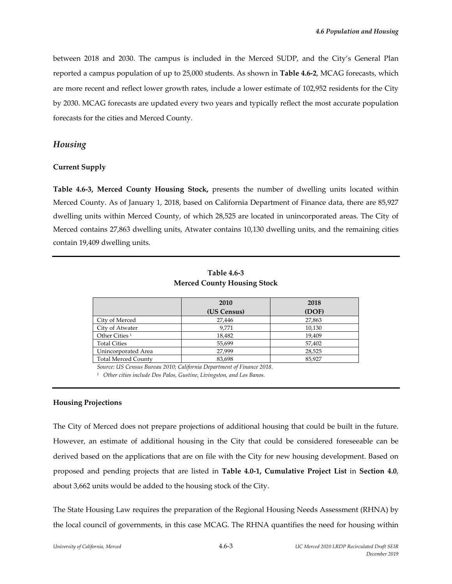between 2018 and 2030. The campus is included in the Merced SUDP, and the City's General Plan reported a campus population of up to 25,000 students. As shown in **Table 4.6‐2**, MCAG forecasts, which are more recent and reflect lower growth rates, include a lower estimate of 102,952 residents for the City by 2030. MCAG forecasts are updated every two years and typically reflect the most accurate population forecasts for the cities and Merced County.

## *Housing*

#### **Current Supply**

**Table 4.6‐3, Merced County Housing Stock,** presents the number of dwelling units located within Merced County. As of January 1, 2018, based on California Department of Finance data, there are 85,927 dwelling units within Merced County, of which 28,525 are located in unincorporated areas. The City of Merced contains 27,863 dwelling units, Atwater contains 10,130 dwelling units, and the remaining cities contain 19,409 dwelling units.

| <b>Table 4.6-3</b>                 |
|------------------------------------|
| <b>Merced County Housing Stock</b> |

|                            | 2010        | 2018   |
|----------------------------|-------------|--------|
|                            | (US Census) | (DOF)  |
| City of Merced             | 27,446      | 27,863 |
| City of Atwater            | 9.771       | 10,130 |
| Other Cities <sup>1</sup>  | 18,482      | 19,409 |
| <b>Total Cities</b>        | 55,699      | 57,402 |
| Unincorporated Area        | 27.999      | 28,525 |
| <b>Total Merced County</b> | 83,698      | 85,927 |

*Source: US Census Bureau 2010; California Department of Finance 2018.*

*<sup>1</sup> Other cities include Dos Palos, Gustine, Livingston, and Los Banos.*

#### **Housing Projections**

The City of Merced does not prepare projections of additional housing that could be built in the future. However, an estimate of additional housing in the City that could be considered foreseeable can be derived based on the applications that are on file with the City for new housing development. Based on proposed and pending projects that are listed in **Table 4.0‐1, Cumulative Project List** in **Section 4.0**, about 3,662 units would be added to the housing stock of the City.

The State Housing Law requires the preparation of the Regional Housing Needs Assessment (RHNA) by the local council of governments, in this case MCAG. The RHNA quantifies the need for housing within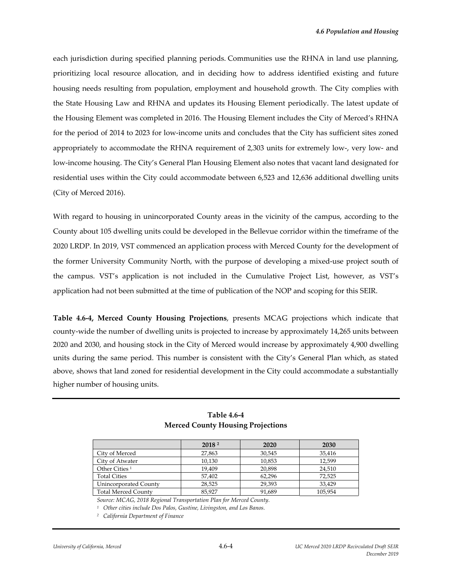each jurisdiction during specified planning periods. Communities use the RHNA in land use planning, prioritizing local resource allocation, and in deciding how to address identified existing and future housing needs resulting from population, employment and household growth. The City complies with the State Housing Law and RHNA and updates its Housing Element periodically. The latest update of the Housing Element was completed in 2016. The Housing Element includes the City of Merced's RHNA for the period of 2014 to 2023 for low-income units and concludes that the City has sufficient sites zoned appropriately to accommodate the RHNA requirement of 2,303 units for extremely low‐, very low‐ and low‐income housing. The City's General Plan Housing Element also notes that vacant land designated for residential uses within the City could accommodate between 6,523 and 12,636 additional dwelling units (City of Merced 2016).

With regard to housing in unincorporated County areas in the vicinity of the campus, according to the County about 105 dwelling units could be developed in the Bellevue corridor within the timeframe of the 2020 LRDP. In 2019, VST commenced an application process with Merced County for the development of the former University Community North, with the purpose of developing a mixed‐use project south of the campus. VST's application is not included in the Cumulative Project List, however, as VST's application had not been submitted at the time of publication of the NOP and scoping for this SEIR.

**Table 4.6‐4, Merced County Housing Projections**, presents MCAG projections which indicate that county-wide the number of dwelling units is projected to increase by approximately 14,265 units between 2020 and 2030, and housing stock in the City of Merced would increase by approximately 4,900 dwelling units during the same period. This number is consistent with the City's General Plan which, as stated above, shows that land zoned for residential development in the City could accommodate a substantially higher number of housing units.

|                            | 2018 <sup>2</sup> | 2020   | 2030    |
|----------------------------|-------------------|--------|---------|
| City of Merced             | 27,863            | 30,545 | 35,416  |
| City of Atwater            | 10,130            | 10,853 | 12.599  |
| Other Cities <sup>1</sup>  | 19.409            | 20.898 | 24.510  |
| <b>Total Cities</b>        | 57.402            | 62.296 | 72.525  |
| Unincorporated County      | 28,525            | 29.393 | 33.429  |
| <b>Total Merced County</b> | 85.927            | 91,689 | 105.954 |

## **Table 4.6‐4 Merced County Housing Projections**

*Source: MCAG, 2018 Regional Transportation Plan for Merced County.*

*<sup>1</sup> Other cities include Dos Palos, Gustine, Livingston, and Los Banos.* 

*<sup>2</sup> California Department of Finance*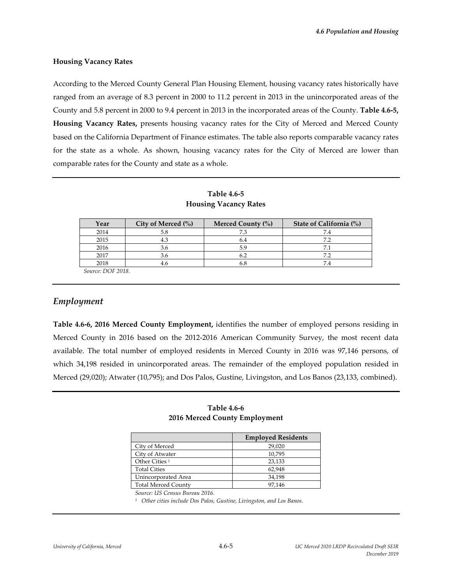#### **Housing Vacancy Rates**

According to the Merced County General Plan Housing Element, housing vacancy rates historically have ranged from an average of 8.3 percent in 2000 to 11.2 percent in 2013 in the unincorporated areas of the County and 5.8 percent in 2000 to 9.4 percent in 2013 in the incorporated areas of the County. **Table 4.6‐5, Housing Vacancy Rates,** presents housing vacancy rates for the City of Merced and Merced County based on the California Department of Finance estimates. The table also reports comparable vacancy rates for the state as a whole. As shown, housing vacancy rates for the City of Merced are lower than comparable rates for the County and state as a whole.

| Year              | City of Merced (%) | Merced County (%) | State of California (%) |
|-------------------|--------------------|-------------------|-------------------------|
| 2014              | 5.8                |                   |                         |
| 2015              | 4.3                | b.4               | 72                      |
| 2016              | 3.6                | 5.9               | 7.1                     |
| 2017              |                    |                   | 72                      |
| 2018              |                    |                   |                         |
| Source: DOF 2018. |                    |                   |                         |

**Table 4.6‐5 Housing Vacancy Rates**

## *Employment*

**Table 4.6‐6, 2016 Merced County Employment,** identifies the number of employed persons residing in Merced County in 2016 based on the 2012‐2016 American Community Survey, the most recent data available. The total number of employed residents in Merced County in 2016 was 97,146 persons, of which 34,198 resided in unincorporated areas. The remainder of the employed population resided in Merced (29,020); Atwater (10,795); and Dos Palos, Gustine, Livingston, and Los Banos (23,133, combined).

| Table 4.6-6                   |  |
|-------------------------------|--|
| 2016 Merced County Employment |  |

|                            | <b>Employed Residents</b> |  |  |
|----------------------------|---------------------------|--|--|
| City of Merced             | 29,020                    |  |  |
| City of Atwater            | 10,795                    |  |  |
| Other Cities <sup>1</sup>  | 23,133                    |  |  |
| <b>Total Cities</b>        | 62.948                    |  |  |
| Unincorporated Area        | 34.198                    |  |  |
| <b>Total Merced County</b> | 97.146                    |  |  |

*Source: US Census Bureau 2016.*

*<sup>1</sup> Other cities include Dos Palos, Gustine, Livingston, and Los Banos.*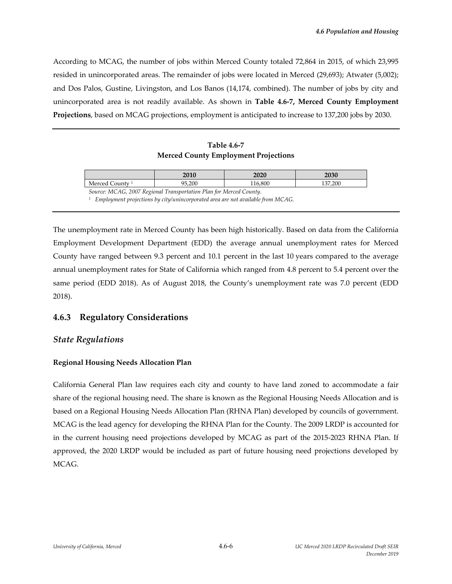According to MCAG, the number of jobs within Merced County totaled 72,864 in 2015, of which 23,995 resided in unincorporated areas. The remainder of jobs were located in Merced (29,693); Atwater (5,002); and Dos Palos, Gustine, Livingston, and Los Banos (14,174, combined). The number of jobs by city and unincorporated area is not readily available. As shown in **Table 4.6‐7, Merced County Employment Projections**, based on MCAG projections, employment is anticipated to increase to 137,200 jobs by 2030.

#### **Table 4.6‐7 Merced County Employment Projections**

|                                                                                                 | 2010   | 2020    | 2030    |  |  |
|-------------------------------------------------------------------------------------------------|--------|---------|---------|--|--|
| Merced County <sup>1</sup>                                                                      | 95.200 | 116.800 | 137.200 |  |  |
| Source: MCAG, 2007 Regional Transportation Plan for Merced County.                              |        |         |         |  |  |
| <sup>1</sup> Employment projections by city/unincorporated area are not available from $MCAG$ . |        |         |         |  |  |

The unemployment rate in Merced County has been high historically. Based on data from the California Employment Development Department (EDD) the average annual unemployment rates for Merced County have ranged between 9.3 percent and 10.1 percent in the last 10 years compared to the average annual unemployment rates for State of California which ranged from 4.8 percent to 5.4 percent over the same period (EDD 2018). As of August 2018, the County's unemployment rate was 7.0 percent (EDD 2018).

# **4.6.3 Regulatory Considerations**

## *State Regulations*

#### **Regional Housing Needs Allocation Plan**

California General Plan law requires each city and county to have land zoned to accommodate a fair share of the regional housing need. The share is known as the Regional Housing Needs Allocation and is based on a Regional Housing Needs Allocation Plan (RHNA Plan) developed by councils of government. MCAG is the lead agency for developing the RHNA Plan for the County. The 2009 LRDP is accounted for in the current housing need projections developed by MCAG as part of the 2015‐2023 RHNA Plan. If approved, the 2020 LRDP would be included as part of future housing need projections developed by MCAG.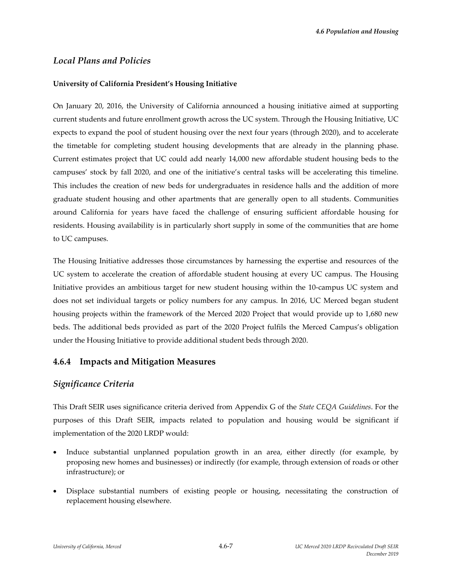## *Local Plans and Policies*

### **University of California President's Housing Initiative**

On January 20, 2016, the University of California announced a housing initiative aimed at supporting current students and future enrollment growth across the UC system. Through the Housing Initiative, UC expects to expand the pool of student housing over the next four years (through 2020), and to accelerate the timetable for completing student housing developments that are already in the planning phase. Current estimates project that UC could add nearly 14,000 new affordable student housing beds to the campuses' stock by fall 2020, and one of the initiative's central tasks will be accelerating this timeline. This includes the creation of new beds for undergraduates in residence halls and the addition of more graduate student housing and other apartments that are generally open to all students. Communities around California for years have faced the challenge of ensuring sufficient affordable housing for residents. Housing availability is in particularly short supply in some of the communities that are home to UC campuses.

The Housing Initiative addresses those circumstances by harnessing the expertise and resources of the UC system to accelerate the creation of affordable student housing at every UC campus. The Housing Initiative provides an ambitious target for new student housing within the 10‐campus UC system and does not set individual targets or policy numbers for any campus. In 2016, UC Merced began student housing projects within the framework of the Merced 2020 Project that would provide up to 1,680 new beds. The additional beds provided as part of the 2020 Project fulfils the Merced Campus's obligation under the Housing Initiative to provide additional student beds through 2020.

## **4.6.4 Impacts and Mitigation Measures**

## *Significance Criteria*

This Draft SEIR uses significance criteria derived from Appendix G of the *State CEQA Guidelines*. For the purposes of this Draft SEIR, impacts related to population and housing would be significant if implementation of the 2020 LRDP would:

- Induce substantial unplanned population growth in an area, either directly (for example, by proposing new homes and businesses) or indirectly (for example, through extension of roads or other infrastructure); or
- Displace substantial numbers of existing people or housing, necessitating the construction of replacement housing elsewhere.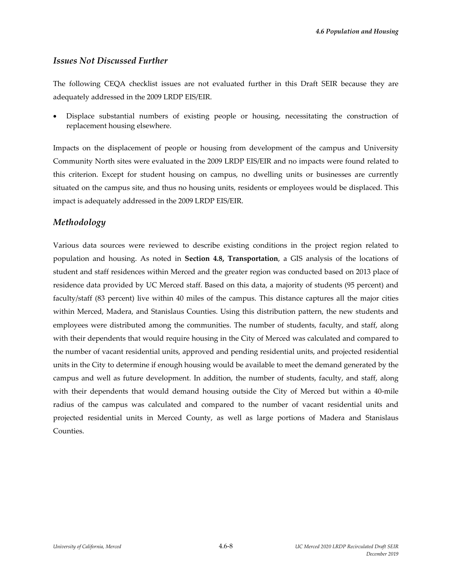## *Issues Not Discussed Further*

The following CEQA checklist issues are not evaluated further in this Draft SEIR because they are adequately addressed in the 2009 LRDP EIS/EIR.

 Displace substantial numbers of existing people or housing, necessitating the construction of replacement housing elsewhere.

Impacts on the displacement of people or housing from development of the campus and University Community North sites were evaluated in the 2009 LRDP EIS/EIR and no impacts were found related to this criterion. Except for student housing on campus, no dwelling units or businesses are currently situated on the campus site, and thus no housing units, residents or employees would be displaced. This impact is adequately addressed in the 2009 LRDP EIS/EIR.

# *Methodology*

Various data sources were reviewed to describe existing conditions in the project region related to population and housing. As noted in **Section 4.8, Transportation**, a GIS analysis of the locations of student and staff residences within Merced and the greater region was conducted based on 2013 place of residence data provided by UC Merced staff. Based on this data, a majority of students (95 percent) and faculty/staff (83 percent) live within 40 miles of the campus. This distance captures all the major cities within Merced, Madera, and Stanislaus Counties. Using this distribution pattern, the new students and employees were distributed among the communities. The number of students, faculty, and staff, along with their dependents that would require housing in the City of Merced was calculated and compared to the number of vacant residential units, approved and pending residential units, and projected residential units in the City to determine if enough housing would be available to meet the demand generated by the campus and well as future development. In addition, the number of students, faculty, and staff, along with their dependents that would demand housing outside the City of Merced but within a 40-mile radius of the campus was calculated and compared to the number of vacant residential units and projected residential units in Merced County, as well as large portions of Madera and Stanislaus Counties.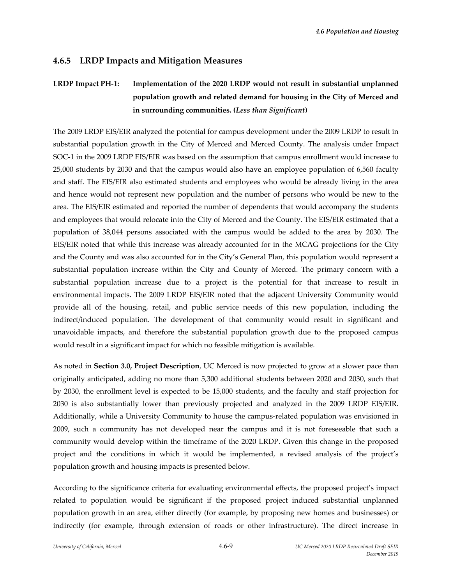# **4.6.5 LRDP Impacts and Mitigation Measures**

# **LRDP Impact PH‐1: Implementation of the 2020 LRDP would not result in substantial unplanned population growth and related demand for housing in the City of Merced and in surrounding communities. (***Less than Significant***)**

The 2009 LRDP EIS/EIR analyzed the potential for campus development under the 2009 LRDP to result in substantial population growth in the City of Merced and Merced County. The analysis under Impact SOC-1 in the 2009 LRDP EIS/EIR was based on the assumption that campus enrollment would increase to 25,000 students by 2030 and that the campus would also have an employee population of 6,560 faculty and staff. The EIS/EIR also estimated students and employees who would be already living in the area and hence would not represent new population and the number of persons who would be new to the area. The EIS/EIR estimated and reported the number of dependents that would accompany the students and employees that would relocate into the City of Merced and the County. The EIS/EIR estimated that a population of 38,044 persons associated with the campus would be added to the area by 2030. The EIS/EIR noted that while this increase was already accounted for in the MCAG projections for the City and the County and was also accounted for in the City's General Plan, this population would represent a substantial population increase within the City and County of Merced. The primary concern with a substantial population increase due to a project is the potential for that increase to result in environmental impacts. The 2009 LRDP EIS/EIR noted that the adjacent University Community would provide all of the housing, retail, and public service needs of this new population, including the indirect/induced population. The development of that community would result in significant and unavoidable impacts, and therefore the substantial population growth due to the proposed campus would result in a significant impact for which no feasible mitigation is available.

As noted in **Section 3.0, Project Description**, UC Merced is now projected to grow at a slower pace than originally anticipated, adding no more than 5,300 additional students between 2020 and 2030, such that by 2030, the enrollment level is expected to be 15,000 students, and the faculty and staff projection for 2030 is also substantially lower than previously projected and analyzed in the 2009 LRDP EIS/EIR. Additionally, while a University Community to house the campus‐related population was envisioned in 2009, such a community has not developed near the campus and it is not foreseeable that such a community would develop within the timeframe of the 2020 LRDP. Given this change in the proposed project and the conditions in which it would be implemented, a revised analysis of the project's population growth and housing impacts is presented below.

According to the significance criteria for evaluating environmental effects, the proposed project's impact related to population would be significant if the proposed project induced substantial unplanned population growth in an area, either directly (for example, by proposing new homes and businesses) or indirectly (for example, through extension of roads or other infrastructure). The direct increase in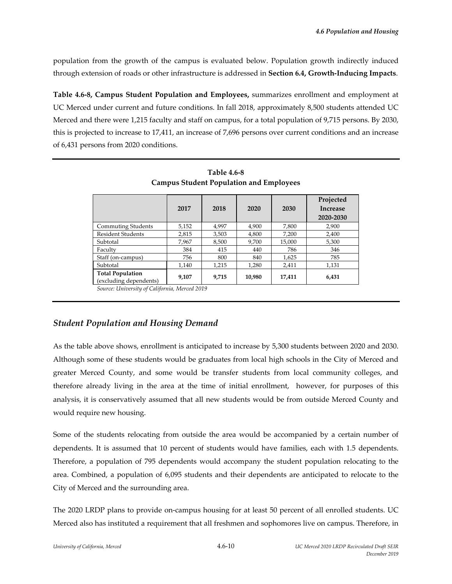population from the growth of the campus is evaluated below. Population growth indirectly induced through extension of roads or other infrastructure is addressed in **Section 6.4, Growth‐Inducing Impacts**.

**Table 4.6‐8, Campus Student Population and Employees,** summarizes enrollment and employment at UC Merced under current and future conditions. In fall 2018, approximately 8,500 students attended UC Merced and there were 1,215 faculty and staff on campus, for a total population of 9,715 persons. By 2030, this is projected to increase to 17,411, an increase of 7,696 persons over current conditions and an increase of 6,431 persons from 2020 conditions.

|                                                   | 2017  | 2018  | 2020   | 2030   | Projected<br><b>Increase</b><br>2020-2030 |
|---------------------------------------------------|-------|-------|--------|--------|-------------------------------------------|
| <b>Commuting Students</b>                         | 5,152 | 4,997 | 4,900  | 7,800  | 2,900                                     |
| <b>Resident Students</b>                          | 2,815 | 3,503 | 4,800  | 7,200  | 2,400                                     |
| Subtotal                                          | 7,967 | 8,500 | 9,700  | 15,000 | 5,300                                     |
| Faculty                                           | 384   | 415   | 440    | 786    | 346                                       |
| Staff (on-campus)                                 | 756   | 800   | 840    | 1,625  | 785                                       |
| Subtotal                                          | 1,140 | 1,215 | 1,280  | 2,411  | 1,131                                     |
| <b>Total Population</b><br>(excluding dependents) | 9.107 | 9,715 | 10,980 | 17,411 | 6,431                                     |

**Table 4.6‐8 Campus Student Population and Employees** 

*Source: University of California, Merced 2019* 

# *Student Population and Housing Demand*

As the table above shows, enrollment is anticipated to increase by 5,300 students between 2020 and 2030. Although some of these students would be graduates from local high schools in the City of Merced and greater Merced County, and some would be transfer students from local community colleges, and therefore already living in the area at the time of initial enrollment, however, for purposes of this analysis, it is conservatively assumed that all new students would be from outside Merced County and would require new housing.

Some of the students relocating from outside the area would be accompanied by a certain number of dependents. It is assumed that 10 percent of students would have families, each with 1.5 dependents. Therefore, a population of 795 dependents would accompany the student population relocating to the area. Combined, a population of 6,095 students and their dependents are anticipated to relocate to the City of Merced and the surrounding area.

The 2020 LRDP plans to provide on-campus housing for at least 50 percent of all enrolled students. UC Merced also has instituted a requirement that all freshmen and sophomores live on campus. Therefore, in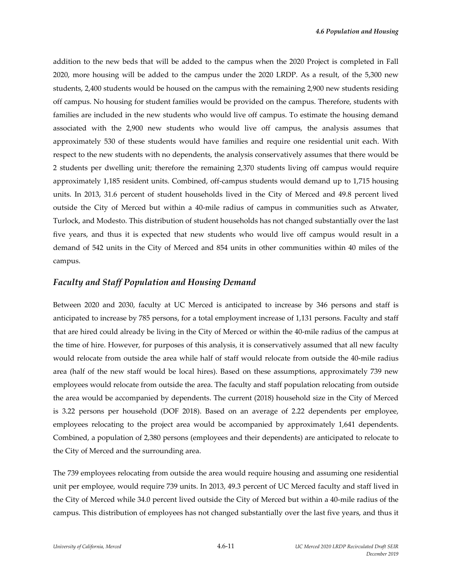addition to the new beds that will be added to the campus when the 2020 Project is completed in Fall 2020, more housing will be added to the campus under the 2020 LRDP. As a result, of the 5,300 new students, 2,400 students would be housed on the campus with the remaining 2,900 new students residing off campus. No housing for student families would be provided on the campus. Therefore, students with families are included in the new students who would live off campus. To estimate the housing demand associated with the 2,900 new students who would live off campus, the analysis assumes that approximately 530 of these students would have families and require one residential unit each. With respect to the new students with no dependents, the analysis conservatively assumes that there would be 2 students per dwelling unit; therefore the remaining 2,370 students living off campus would require approximately 1,185 resident units. Combined, off‐campus students would demand up to 1,715 housing units. In 2013, 31.6 percent of student households lived in the City of Merced and 49.8 percent lived outside the City of Merced but within a 40‐mile radius of campus in communities such as Atwater, Turlock, and Modesto. This distribution of student households has not changed substantially over the last five years, and thus it is expected that new students who would live off campus would result in a demand of 542 units in the City of Merced and 854 units in other communities within 40 miles of the campus.

#### *Faculty and Staff Population and Housing Demand*

Between 2020 and 2030, faculty at UC Merced is anticipated to increase by 346 persons and staff is anticipated to increase by 785 persons, for a total employment increase of 1,131 persons. Faculty and staff that are hired could already be living in the City of Merced or within the 40-mile radius of the campus at the time of hire. However, for purposes of this analysis, it is conservatively assumed that all new faculty would relocate from outside the area while half of staff would relocate from outside the 40‐mile radius area (half of the new staff would be local hires). Based on these assumptions, approximately 739 new employees would relocate from outside the area. The faculty and staff population relocating from outside the area would be accompanied by dependents. The current (2018) household size in the City of Merced is 3.22 persons per household (DOF 2018). Based on an average of 2.22 dependents per employee, employees relocating to the project area would be accompanied by approximately 1,641 dependents. Combined, a population of 2,380 persons (employees and their dependents) are anticipated to relocate to the City of Merced and the surrounding area.

The 739 employees relocating from outside the area would require housing and assuming one residential unit per employee, would require 739 units. In 2013, 49.3 percent of UC Merced faculty and staff lived in the City of Merced while 34.0 percent lived outside the City of Merced but within a 40‐mile radius of the campus. This distribution of employees has not changed substantially over the last five years, and thus it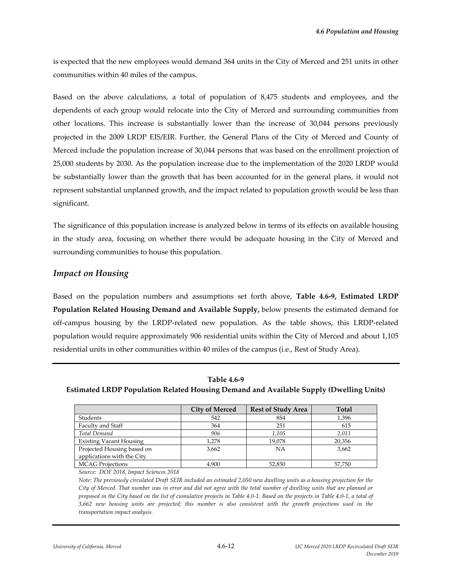is expected that the new employees would demand 364 units in the City of Merced and 251 units in other communities within 40 miles of the campus.

Based on the above calculations, a total of population of 8,475 students and employees, and the dependents of each group would relocate into the City of Merced and surrounding communities from other locations. This increase is substantially lower than the increase of 30,044 persons previously projected in the 2009 LRDP EIS/EIR. Further, the General Plans of the City of Merced and County of Merced include the population increase of 30,044 persons that was based on the enrollment projection of 25,000 students by 2030. As the population increase due to the implementation of the 2020 LRDP would be substantially lower than the growth that has been accounted for in the general plans, it would not represent substantial unplanned growth, and the impact related to population growth would be less than significant.

The significance of this population increase is analyzed below in terms of its effects on available housing in the study area, focusing on whether there would be adequate housing in the City of Merced and surrounding communities to house this population.

## *Impact on Housing*

Based on the population numbers and assumptions set forth above, **Table 4.6‐9, Estimated LRDP Population Related Housing Demand and Available Supply,** below presents the estimated demand for off-campus housing by the LRDP-related new population. As the table shows, this LRDP-related population would require approximately 906 residential units within the City of Merced and about 1,105 residential units in other communities within 40 miles of the campus (i.e., Rest of Study Area).

**Table 4.6‐9 Estimated LRDP Population Related Housing Demand and Available Supply (Dwelling Units)**

|                                | <b>City of Merced</b> | <b>Rest of Study Area</b> | <b>Total</b> |
|--------------------------------|-----------------------|---------------------------|--------------|
| Students                       | 542                   | 854                       | 1,396        |
| Faculty and Staff              | 364                   | 251                       | 615          |
| Total Demand                   | 906                   | 1,105                     | 2,011        |
| <b>Existing Vacant Housing</b> | 1,278                 | 19,078                    | 20,356       |
| Projected Housing based on     | 3,662                 | <b>NA</b>                 | 3,662        |
| applications with the City     |                       |                           |              |
| <b>MCAG Projections</b>        | 4.900                 | 52.850                    | 57.750       |

*Source: DOF 2018, Impact Sciences 2018*

Note: The previously circulated Draft SEIR included an estimated 2,050 new dwelling units as a housing projection for the City of Merced. That number was in error and did not agree with the total number of dwelling units that are planned or proposed in the City based on the list of cumulative projects in Table 4.0-1. Based on the projects in Table 4.0-1, a total of 3,662 new housing units are projected; this number is also consistent with the growth projections used in the *transportation impact analysis.*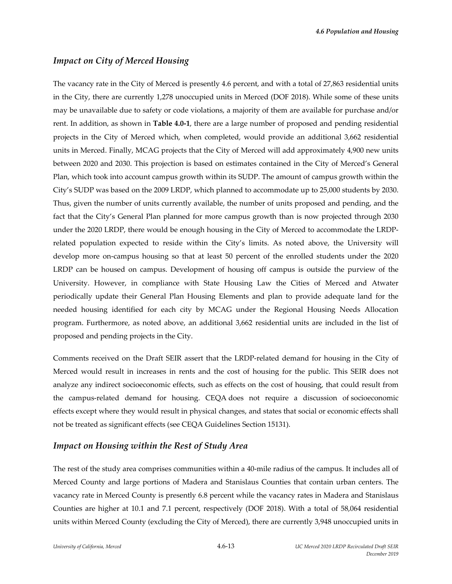### *Impact on City of Merced Housing*

The vacancy rate in the City of Merced is presently 4.6 percent, and with a total of 27,863 residential units in the City, there are currently 1,278 unoccupied units in Merced (DOF 2018). While some of these units may be unavailable due to safety or code violations, a majority of them are available for purchase and/or rent. In addition, as shown in **Table 4.0‐1**, there are a large number of proposed and pending residential projects in the City of Merced which, when completed, would provide an additional 3,662 residential units in Merced. Finally, MCAG projects that the City of Merced will add approximately 4,900 new units between 2020 and 2030. This projection is based on estimates contained in the City of Merced's General Plan, which took into account campus growth within its SUDP. The amount of campus growth within the City's SUDP was based on the 2009 LRDP, which planned to accommodate up to 25,000 students by 2030. Thus, given the number of units currently available, the number of units proposed and pending, and the fact that the City's General Plan planned for more campus growth than is now projected through 2030 under the 2020 LRDP, there would be enough housing in the City of Merced to accommodate the LRDP‐ related population expected to reside within the City's limits. As noted above, the University will develop more on‐campus housing so that at least 50 percent of the enrolled students under the 2020 LRDP can be housed on campus. Development of housing off campus is outside the purview of the University. However, in compliance with State Housing Law the Cities of Merced and Atwater periodically update their General Plan Housing Elements and plan to provide adequate land for the needed housing identified for each city by MCAG under the Regional Housing Needs Allocation program. Furthermore, as noted above, an additional 3,662 residential units are included in the list of proposed and pending projects in the City.

Comments received on the Draft SEIR assert that the LRDP‐related demand for housing in the City of Merced would result in increases in rents and the cost of housing for the public. This SEIR does not analyze any indirect socioeconomic effects, such as effects on the cost of housing, that could result from the campus‐related demand for housing. CEQA does not require a discussion of socioeconomic effects except where they would result in physical changes, and states that social or economic effects shall not be treated as significant effects (see CEQA Guidelines Section 15131).

#### *Impact on Housing within the Rest of Study Area*

The rest of the study area comprises communities within a 40-mile radius of the campus. It includes all of Merced County and large portions of Madera and Stanislaus Counties that contain urban centers. The vacancy rate in Merced County is presently 6.8 percent while the vacancy rates in Madera and Stanislaus Counties are higher at 10.1 and 7.1 percent, respectively (DOF 2018). With a total of 58,064 residential units within Merced County (excluding the City of Merced), there are currently 3,948 unoccupied units in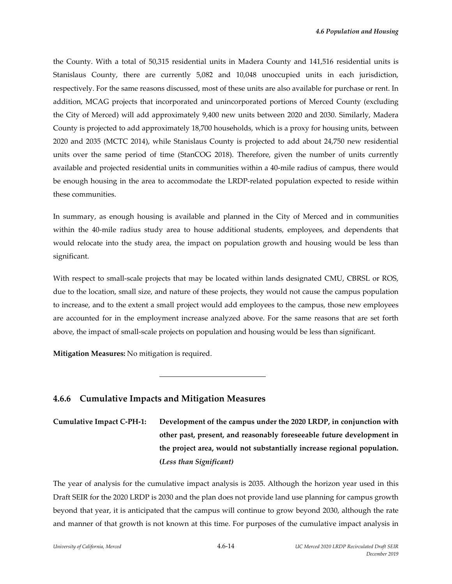the County. With a total of 50,315 residential units in Madera County and 141,516 residential units is Stanislaus County, there are currently 5,082 and 10,048 unoccupied units in each jurisdiction, respectively. For the same reasons discussed, most of these units are also available for purchase or rent. In addition, MCAG projects that incorporated and unincorporated portions of Merced County (excluding the City of Merced) will add approximately 9,400 new units between 2020 and 2030. Similarly, Madera County is projected to add approximately 18,700 households, which is a proxy for housing units, between 2020 and 2035 (MCTC 2014), while Stanislaus County is projected to add about 24,750 new residential units over the same period of time (StanCOG 2018). Therefore, given the number of units currently available and projected residential units in communities within a 40‐mile radius of campus, there would be enough housing in the area to accommodate the LRDP‐related population expected to reside within these communities.

In summary, as enough housing is available and planned in the City of Merced and in communities within the 40-mile radius study area to house additional students, employees, and dependents that would relocate into the study area, the impact on population growth and housing would be less than significant.

With respect to small-scale projects that may be located within lands designated CMU, CBRSL or ROS, due to the location, small size, and nature of these projects, they would not cause the campus population to increase, and to the extent a small project would add employees to the campus, those new employees are accounted for in the employment increase analyzed above. For the same reasons that are set forth above, the impact of small-scale projects on population and housing would be less than significant.

**Mitigation Measures:** No mitigation is required.

## **4.6.6 Cumulative Impacts and Mitigation Measures**

l

# **Cumulative Impact C‐PH‐1: Development of the campus under the 2020 LRDP, in conjunction with other past, present, and reasonably foreseeable future development in the project area, would not substantially increase regional population. (***Less than Significant)*

The year of analysis for the cumulative impact analysis is 2035. Although the horizon year used in this Draft SEIR for the 2020 LRDP is 2030 and the plan does not provide land use planning for campus growth beyond that year, it is anticipated that the campus will continue to grow beyond 2030, although the rate and manner of that growth is not known at this time. For purposes of the cumulative impact analysis in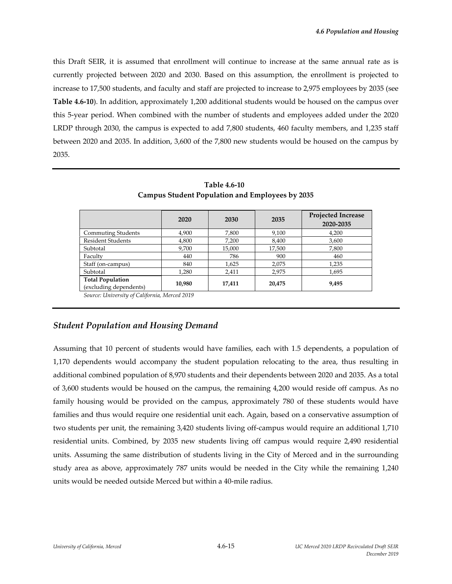this Draft SEIR, it is assumed that enrollment will continue to increase at the same annual rate as is currently projected between 2020 and 2030. Based on this assumption, the enrollment is projected to increase to 17,500 students, and faculty and staff are projected to increase to 2,975 employees by 2035 (see **Table 4.6‐10**). In addition, approximately 1,200 additional students would be housed on the campus over this 5‐year period. When combined with the number of students and employees added under the 2020 LRDP through 2030, the campus is expected to add 7,800 students, 460 faculty members, and 1,235 staff between 2020 and 2035. In addition, 3,600 of the 7,800 new students would be housed on the campus by 2035.

|                                                   | 2020   | 2030   | 2035   | Projected Increase<br>2020-2035 |
|---------------------------------------------------|--------|--------|--------|---------------------------------|
| <b>Commuting Students</b>                         | 4,900  | 7,800  | 9,100  | 4,200                           |
| <b>Resident Students</b>                          | 4,800  | 7,200  | 8,400  | 3,600                           |
| Subtotal                                          | 9,700  | 15,000 | 17,500 | 7,800                           |
| Faculty                                           | 440    | 786    | 900    | 460                             |
| Staff (on-campus)                                 | 840    | 1,625  | 2,075  | 1,235                           |
| Subtotal                                          | 1,280  | 2,411  | 2,975  | 1,695                           |
| <b>Total Population</b><br>(excluding dependents) | 10,980 | 17,411 | 20,475 | 9,495                           |

**Table 4.6‐10 Campus Student Population and Employees by 2035**

*Source: University of California, Merced 2019* 

# *Student Population and Housing Demand*

Assuming that 10 percent of students would have families, each with 1.5 dependents, a population of 1,170 dependents would accompany the student population relocating to the area, thus resulting in additional combined population of 8,970 students and their dependents between 2020 and 2035. As a total of 3,600 students would be housed on the campus, the remaining 4,200 would reside off campus. As no family housing would be provided on the campus, approximately 780 of these students would have families and thus would require one residential unit each. Again, based on a conservative assumption of two students per unit, the remaining 3,420 students living off‐campus would require an additional 1,710 residential units. Combined, by 2035 new students living off campus would require 2,490 residential units. Assuming the same distribution of students living in the City of Merced and in the surrounding study area as above, approximately 787 units would be needed in the City while the remaining 1,240 units would be needed outside Merced but within a 40‐mile radius.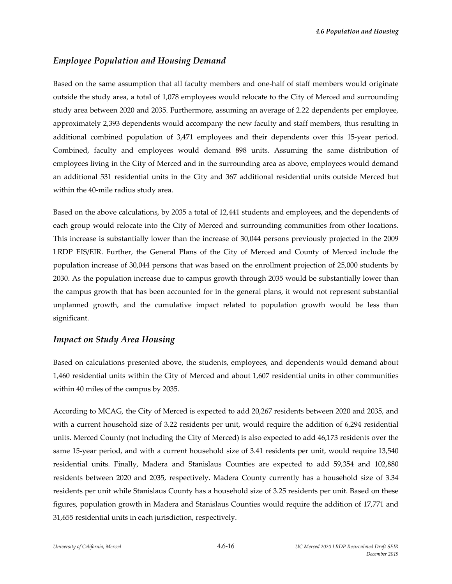#### *Employee Population and Housing Demand*

Based on the same assumption that all faculty members and one-half of staff members would originate outside the study area, a total of 1,078 employees would relocate to the City of Merced and surrounding study area between 2020 and 2035. Furthermore, assuming an average of 2.22 dependents per employee, approximately 2,393 dependents would accompany the new faculty and staff members, thus resulting in additional combined population of 3,471 employees and their dependents over this 15‐year period. Combined, faculty and employees would demand 898 units. Assuming the same distribution of employees living in the City of Merced and in the surrounding area as above, employees would demand an additional 531 residential units in the City and 367 additional residential units outside Merced but within the 40‐mile radius study area.

Based on the above calculations, by 2035 a total of 12,441 students and employees, and the dependents of each group would relocate into the City of Merced and surrounding communities from other locations. This increase is substantially lower than the increase of 30,044 persons previously projected in the 2009 LRDP EIS/EIR. Further, the General Plans of the City of Merced and County of Merced include the population increase of 30,044 persons that was based on the enrollment projection of 25,000 students by 2030. As the population increase due to campus growth through 2035 would be substantially lower than the campus growth that has been accounted for in the general plans, it would not represent substantial unplanned growth, and the cumulative impact related to population growth would be less than significant.

#### *Impact on Study Area Housing*

Based on calculations presented above, the students, employees, and dependents would demand about 1,460 residential units within the City of Merced and about 1,607 residential units in other communities within 40 miles of the campus by 2035.

According to MCAG, the City of Merced is expected to add 20,267 residents between 2020 and 2035, and with a current household size of 3.22 residents per unit, would require the addition of 6,294 residential units. Merced County (not including the City of Merced) is also expected to add 46,173 residents over the same 15-year period, and with a current household size of 3.41 residents per unit, would require 13,540 residential units. Finally, Madera and Stanislaus Counties are expected to add 59,354 and 102,880 residents between 2020 and 2035, respectively. Madera County currently has a household size of 3.34 residents per unit while Stanislaus County has a household size of 3.25 residents per unit. Based on these figures, population growth in Madera and Stanislaus Counties would require the addition of 17,771 and 31,655 residential units in each jurisdiction, respectively.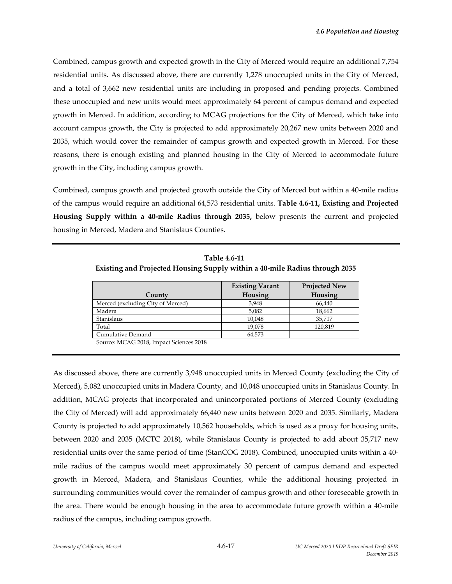Combined, campus growth and expected growth in the City of Merced would require an additional 7,754 residential units. As discussed above, there are currently 1,278 unoccupied units in the City of Merced, and a total of 3,662 new residential units are including in proposed and pending projects. Combined these unoccupied and new units would meet approximately 64 percent of campus demand and expected growth in Merced. In addition, according to MCAG projections for the City of Merced, which take into account campus growth, the City is projected to add approximately 20,267 new units between 2020 and 2035, which would cover the remainder of campus growth and expected growth in Merced. For these reasons, there is enough existing and planned housing in the City of Merced to accommodate future growth in the City, including campus growth.

Combined, campus growth and projected growth outside the City of Merced but within a 40-mile radius of the campus would require an additional 64,573 residential units. **Table 4.6‐11, Existing and Projected Housing Supply within a 40‐mile Radius through 2035,** below presents the current and projected housing in Merced, Madera and Stanislaus Counties.

|                                   | <b>Existing Vacant</b> | <b>Projected New</b> |
|-----------------------------------|------------------------|----------------------|
| County                            | Housing                | Housing              |
| Merced (excluding City of Merced) | 3,948                  | 66,440               |
| Madera                            | 5,082                  | 18,662               |
| Stanislaus                        | 10,048                 | 35,717               |
| Total                             | 19,078                 | 120,819              |
| Cumulative Demand                 | 64,573                 |                      |

**Table 4.6‐11 Existing and Projected Housing Supply within a 40‐mile Radius through 2035**

Source: MCAG 2018, Impact Sciences 2018

As discussed above, there are currently 3,948 unoccupied units in Merced County (excluding the City of Merced), 5,082 unoccupied units in Madera County, and 10,048 unoccupied units in Stanislaus County. In addition, MCAG projects that incorporated and unincorporated portions of Merced County (excluding the City of Merced) will add approximately 66,440 new units between 2020 and 2035. Similarly, Madera County is projected to add approximately 10,562 households, which is used as a proxy for housing units, between 2020 and 2035 (MCTC 2018), while Stanislaus County is projected to add about 35,717 new residential units over the same period of time (StanCOG 2018). Combined, unoccupied units within a 40‐ mile radius of the campus would meet approximately 30 percent of campus demand and expected growth in Merced, Madera, and Stanislaus Counties, while the additional housing projected in surrounding communities would cover the remainder of campus growth and other foreseeable growth in the area. There would be enough housing in the area to accommodate future growth within a 40-mile radius of the campus, including campus growth.